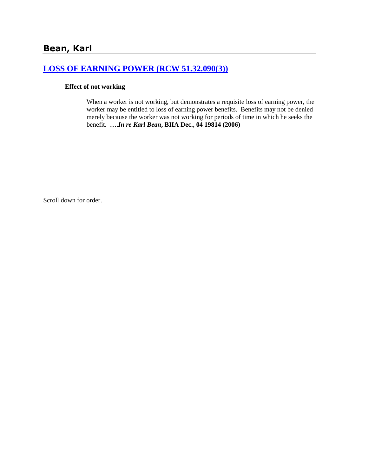# **[LOSS OF EARNING POWER \(RCW 51.32.090\(3\)\)](http://www.biia.wa.gov/SDSubjectIndex.html#LOSS_OF_EARNING_POWER)**

#### **Effect of not working**

When a worker is not working, but demonstrates a requisite loss of earning power, the worker may be entitled to loss of earning power benefits. Benefits may not be denied merely because the worker was not working for periods of time in which he seeks the benefit. **….***In re Karl Bean***, BIIA Dec., 04 19814 (2006)**

Scroll down for order.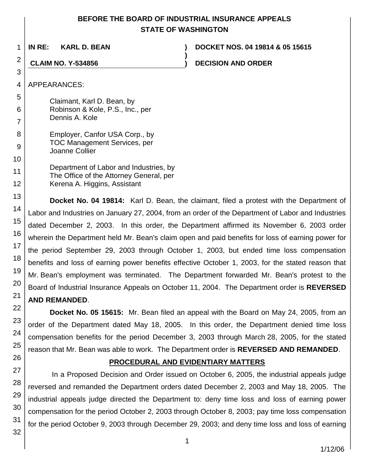# **BEFORE THE BOARD OF INDUSTRIAL INSURANCE APPEALS STATE OF WASHINGTON**

**)**

1

**IN RE: KARL D. BEAN ) DOCKET NOS. 04 19814 & 05 15615**

**CLAIM NO. Y-534856 ) DECISION AND ORDER**

APPEARANCES:

2

Claimant, Karl D. Bean, by Robinson & Kole, P.S., Inc., per Dennis A. Kole

Employer, Canfor USA Corp., by TOC Management Services, per Joanne Collier

Department of Labor and Industries, by The Office of the Attorney General, per Kerena A. Higgins, Assistant

**Docket No. 04 19814:** Karl D. Bean, the claimant, filed a protest with the Department of Labor and Industries on January 27, 2004, from an order of the Department of Labor and Industries dated December 2, 2003. In this order, the Department affirmed its November 6, 2003 order wherein the Department held Mr. Bean's claim open and paid benefits for loss of earning power for the period September 29, 2003 through October 1, 2003, but ended time loss compensation benefits and loss of earning power benefits effective October 1, 2003, for the stated reason that Mr. Bean's employment was terminated. The Department forwarded Mr. Bean's protest to the Board of Industrial Insurance Appeals on October 11, 2004. The Department order is **REVERSED AND REMANDED**.

**Docket No. 05 15615:** Mr. Bean filed an appeal with the Board on May 24, 2005, from an order of the Department dated May 18, 2005. In this order, the Department denied time loss compensation benefits for the period December 3, 2003 through March 28, 2005, for the stated reason that Mr. Bean was able to work. The Department order is **REVERSED AND REMANDED**.

# **PROCEDURAL AND EVIDENTIARY MATTERS**

In a Proposed Decision and Order issued on October 6, 2005, the industrial appeals judge reversed and remanded the Department orders dated December 2, 2003 and May 18, 2005. The industrial appeals judge directed the Department to: deny time loss and loss of earning power compensation for the period October 2, 2003 through October 8, 2003; pay time loss compensation for the period October 9, 2003 through December 29, 2003; and deny time loss and loss of earning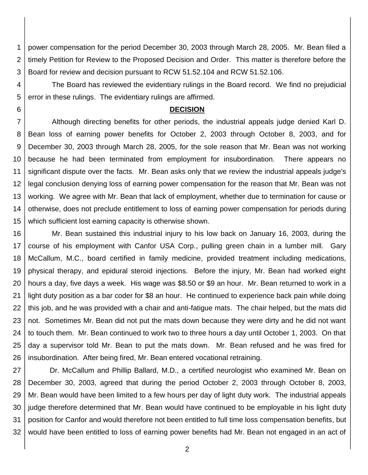1 2 3 power compensation for the period December 30, 2003 through March 28, 2005. Mr. Bean filed a timely Petition for Review to the Proposed Decision and Order. This matter is therefore before the Board for review and decision pursuant to RCW 51.52.104 and RCW 51.52.106.

4 5 The Board has reviewed the evidentiary rulings in the Board record. We find no prejudicial error in these rulings. The evidentiary rulings are affirmed.

#### **DECISION**

6

7 8 9 10 11 12 13 14 15 Although directing benefits for other periods, the industrial appeals judge denied Karl D. Bean loss of earning power benefits for October 2, 2003 through October 8, 2003, and for December 30, 2003 through March 28, 2005, for the sole reason that Mr. Bean was not working because he had been terminated from employment for insubordination. There appears no significant dispute over the facts. Mr. Bean asks only that we review the industrial appeals judge's legal conclusion denying loss of earning power compensation for the reason that Mr. Bean was not working. We agree with Mr. Bean that lack of employment, whether due to termination for cause or otherwise, does not preclude entitlement to loss of earning power compensation for periods during which sufficient lost earning capacity is otherwise shown.

16 17 18 19 20 21 22 23 24 25 26 Mr. Bean sustained this industrial injury to his low back on January 16, 2003, during the course of his employment with Canfor USA Corp., pulling green chain in a lumber mill. Gary McCallum, M.C., board certified in family medicine, provided treatment including medications, physical therapy, and epidural steroid injections. Before the injury, Mr. Bean had worked eight hours a day, five days a week. His wage was \$8.50 or \$9 an hour. Mr. Bean returned to work in a light duty position as a bar coder for \$8 an hour. He continued to experience back pain while doing this job, and he was provided with a chair and anti-fatigue mats. The chair helped, but the mats did not. Sometimes Mr. Bean did not put the mats down because they were dirty and he did not want to touch them. Mr. Bean continued to work two to three hours a day until October 1, 2003. On that day a supervisor told Mr. Bean to put the mats down. Mr. Bean refused and he was fired for insubordination. After being fired, Mr. Bean entered vocational retraining.

27 28 29 30 31 32 Dr. McCallum and Phillip Ballard, M.D., a certified neurologist who examined Mr. Bean on December 30, 2003, agreed that during the period October 2, 2003 through October 8, 2003, Mr. Bean would have been limited to a few hours per day of light duty work. The industrial appeals judge therefore determined that Mr. Bean would have continued to be employable in his light duty position for Canfor and would therefore not been entitled to full time loss compensation benefits, but would have been entitled to loss of earning power benefits had Mr. Bean not engaged in an act of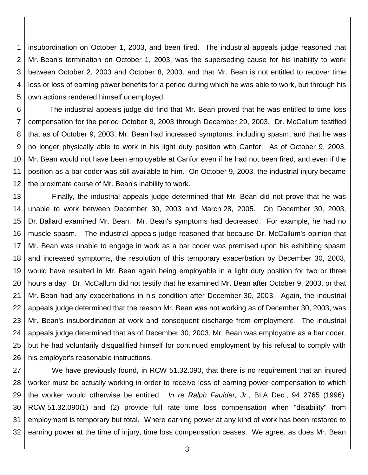1 2 3 4 5 insubordination on October 1, 2003, and been fired. The industrial appeals judge reasoned that Mr. Bean's termination on October 1, 2003, was the superseding cause for his inability to work between October 2, 2003 and October 8, 2003, and that Mr. Bean is not entitled to recover time loss or loss of earning power benefits for a period during which he was able to work, but through his own actions rendered himself unemployed.

6 7 8 9 10 11 12 The industrial appeals judge did find that Mr. Bean proved that he was entitled to time loss compensation for the period October 9, 2003 through December 29, 2003. Dr. McCallum testified that as of October 9, 2003, Mr. Bean had increased symptoms, including spasm, and that he was no longer physically able to work in his light duty position with Canfor. As of October 9, 2003, Mr. Bean would not have been employable at Canfor even if he had not been fired, and even if the position as a bar coder was still available to him. On October 9, 2003, the industrial injury became the proximate cause of Mr. Bean's inability to work.

13 14 15 16 17 18 19 20 21 22 23 24 25 26 Finally, the industrial appeals judge determined that Mr. Bean did not prove that he was unable to work between December 30, 2003 and March 28, 2005. On December 30, 2003, Dr. Ballard examined Mr. Bean. Mr. Bean's symptoms had decreased. For example, he had no muscle spasm. The industrial appeals judge reasoned that because Dr. McCallum's opinion that Mr. Bean was unable to engage in work as a bar coder was premised upon his exhibiting spasm and increased symptoms, the resolution of this temporary exacerbation by December 30, 2003, would have resulted in Mr. Bean again being employable in a light duty position for two or three hours a day. Dr. McCallum did not testify that he examined Mr. Bean after October 9, 2003, or that Mr. Bean had any exacerbations in his condition after December 30, 2003. Again, the industrial appeals judge determined that the reason Mr. Bean was not working as of December 30, 2003, was Mr. Bean's insubordination at work and consequent discharge from employment. The industrial appeals judge determined that as of December 30, 2003, Mr. Bean was employable as a bar coder, but he had voluntarily disqualified himself for continued employment by his refusal to comply with his employer's reasonable instructions.

27 28 29 30 31 32 We have previously found, in RCW 51.32.090, that there is no requirement that an injured worker must be actually working in order to receive loss of earning power compensation to which the worker would otherwise be entitled. *In re Ralph Faulder, Jr.*, BIIA Dec., 94 2765 (1996). RCW 51.32.090(1) and (2) provide full rate time loss compensation when "disability" from employment is temporary but total. Where earning power at any kind of work has been restored to earning power at the time of injury, time loss compensation ceases. We agree, as does Mr. Bean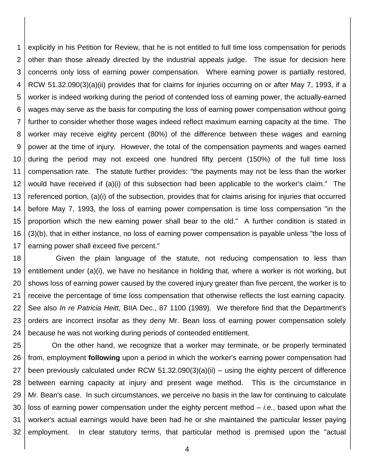1 2 3 4 5 6 7 8 9 10 11 12 13 14 15 16 17 explicitly in his Petition for Review, that he is not entitled to full time loss compensation for periods other than those already directed by the industrial appeals judge. The issue for decision here concerns only loss of earning power compensation. Where earning power is partially restored, RCW 51.32.090(3)(a)(ii) provides that for claims for injuries occurring on or after May 7, 1993, if a worker is indeed working during the period of contended loss of earning power, the actually-earned wages may serve as the basis for computing the loss of earning power compensation without going further to consider whether those wages indeed reflect maximum earning capacity at the time. The worker may receive eighty percent (80%) of the difference between these wages and earning power at the time of injury. However, the total of the compensation payments and wages earned during the period may not exceed one hundred fifty percent (150%) of the full time loss compensation rate. The statute further provides: "the payments may not be less than the worker would have received if (a)(i) of this subsection had been applicable to the worker's claim." The referenced portion, (a)(i) of the subsection, provides that for claims arising for injuries that occurred before May 7, 1993, the loss of earning power compensation is time loss compensation "in the proportion which the new earning power shall bear to the old." A further condition is stated in (3)(b), that in either instance, no loss of earning power compensation is payable unless "the loss of earning power shall exceed five percent."

18 19 20 21 22 23 24 Given the plain language of the statute, not reducing compensation to less than entitlement under (a)(i), we have no hesitance in holding that, where a worker is not working, but shows loss of earning power caused by the covered injury greater than five percent, the worker is to receive the percentage of time loss compensation that otherwise reflects the lost earning capacity. See also *In re Patricia Heitt,* BIIA Dec., 87 1100 (1989). We therefore find that the Department's orders are incorrect insofar as they deny Mr. Bean loss of earning power compensation solely because he was not working during periods of contended entitlement.

25 26 27 28 29 30 31 32 On the other hand, we recognize that a worker may terminate, or be properly terminated from, employment **following** upon a period in which the worker's earning power compensation had been previously calculated under RCW 51.32.090(3)(a)(ii) – using the eighty percent of difference between earning capacity at injury and present wage method. This is the circumstance in Mr. Bean's case. In such circumstances, we perceive no basis in the law for continuing to calculate loss of earning power compensation under the eighty percent method – *i.e.*, based upon what the worker's actual earnings would have been had he or she maintained the particular lesser paying employment. In clear statutory terms, that particular method is premised upon the "actual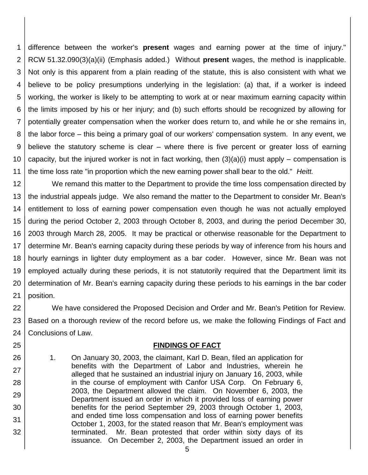1 2 3 4 5 6 7 8 9 10 11 difference between the worker's **present** wages and earning power at the time of injury." RCW 51.32.090(3)(a)(ii) (Emphasis added.) Without **present** wages, the method is inapplicable. Not only is this apparent from a plain reading of the statute, this is also consistent with what we believe to be policy presumptions underlying in the legislation: (a) that, if a worker is indeed working, the worker is likely to be attempting to work at or near maximum earning capacity within the limits imposed by his or her injury; and (b) such efforts should be recognized by allowing for potentially greater compensation when the worker does return to, and while he or she remains in, the labor force – this being a primary goal of our workers' compensation system. In any event, we believe the statutory scheme is clear – where there is five percent or greater loss of earning capacity, but the injured worker is not in fact working, then  $(3)(a)(i)$  must apply – compensation is the time loss rate "in proportion which the new earning power shall bear to the old." *Heitt.*

12 13 14 15 16 17 18 19 20 21 We remand this matter to the Department to provide the time loss compensation directed by the industrial appeals judge. We also remand the matter to the Department to consider Mr. Bean's entitlement to loss of earning power compensation even though he was not actually employed during the period October 2, 2003 through October 8, 2003, and during the period December 30, 2003 through March 28, 2005. It may be practical or otherwise reasonable for the Department to determine Mr. Bean's earning capacity during these periods by way of inference from his hours and hourly earnings in lighter duty employment as a bar coder. However, since Mr. Bean was not employed actually during these periods, it is not statutorily required that the Department limit its determination of Mr. Bean's earning capacity during these periods to his earnings in the bar coder position.

22 23 24 We have considered the Proposed Decision and Order and Mr. Bean's Petition for Review. Based on a thorough review of the record before us, we make the following Findings of Fact and Conclusions of Law.

#### **FINDINGS OF FACT**

1. On January 30, 2003, the claimant, Karl D. Bean, filed an application for benefits with the Department of Labor and Industries, wherein he alleged that he sustained an industrial injury on January 16, 2003, while in the course of employment with Canfor USA Corp. On February 6, 2003, the Department allowed the claim. On November 6, 2003, the Department issued an order in which it provided loss of earning power benefits for the period September 29, 2003 through October 1, 2003, and ended time loss compensation and loss of earning power benefits October 1, 2003, for the stated reason that Mr. Bean's employment was terminated. Mr. Bean protested that order within sixty days of its issuance. On December 2, 2003, the Department issued an order in

25

26

27

28

29

30

31

32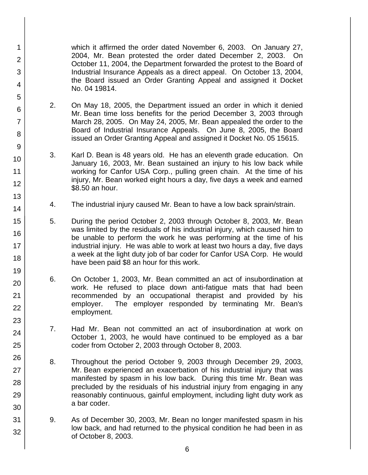which it affirmed the order dated November 6, 2003. On January 27, 2004, Mr. Bean protested the order dated December 2, 2003. On October 11, 2004, the Department forwarded the protest to the Board of Industrial Insurance Appeals as a direct appeal. On October 13, 2004, the Board issued an Order Granting Appeal and assigned it Docket No. 04 19814.

2. On May 18, 2005, the Department issued an order in which it denied Mr. Bean time loss benefits for the period December 3, 2003 through March 28, 2005. On May 24, 2005, Mr. Bean appealed the order to the Board of Industrial Insurance Appeals. On June 8, 2005, the Board issued an Order Granting Appeal and assigned it Docket No. 05 15615.

1

2

3

4

5

6

7

8

9

10

11

12

13

14

15

16

17 18

19

20

21 22

23

24

25

26

27

28

29

30

31

- 3. Karl D. Bean is 48 years old. He has an eleventh grade education. On January 16, 2003, Mr. Bean sustained an injury to his low back while working for Canfor USA Corp., pulling green chain. At the time of his injury, Mr. Bean worked eight hours a day, five days a week and earned \$8.50 an hour.
- 4. The industrial injury caused Mr. Bean to have a low back sprain/strain.
- 5. During the period October 2, 2003 through October 8, 2003, Mr. Bean was limited by the residuals of his industrial injury, which caused him to be unable to perform the work he was performing at the time of his industrial injury. He was able to work at least two hours a day, five days a week at the light duty job of bar coder for Canfor USA Corp. He would have been paid \$8 an hour for this work.
- 6. On October 1, 2003, Mr. Bean committed an act of insubordination at work. He refused to place down anti-fatigue mats that had been recommended by an occupational therapist and provided by his employer. The employer responded by terminating Mr. Bean's employment.
- 7. Had Mr. Bean not committed an act of insubordination at work on October 1, 2003, he would have continued to be employed as a bar coder from October 2, 2003 through October 8, 2003.
- 8. Throughout the period October 9, 2003 through December 29, 2003, Mr. Bean experienced an exacerbation of his industrial injury that was manifested by spasm in his low back. During this time Mr. Bean was precluded by the residuals of his industrial injury from engaging in any reasonably continuous, gainful employment, including light duty work as a bar coder.
- 9. As of December 30, 2003, Mr. Bean no longer manifested spasm in his low back, and had returned to the physical condition he had been in as of October 8, 2003.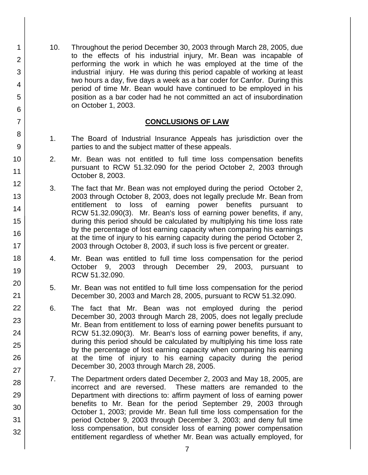10. Throughout the period December 30, 2003 through March 28, 2005, due to the effects of his industrial injury, Mr. Bean was incapable of performing the work in which he was employed at the time of the industrial injury. He was during this period capable of working at least two hours a day, five days a week as a bar coder for Canfor. During this period of time Mr. Bean would have continued to be employed in his position as a bar coder had he not committed an act of insubordination on October 1, 2003.

### **CONCLUSIONS OF LAW**

- 1. The Board of Industrial Insurance Appeals has jurisdiction over the parties to and the subject matter of these appeals.
- 2. Mr. Bean was not entitled to full time loss compensation benefits pursuant to RCW 51.32.090 for the period October 2, 2003 through October 8, 2003.
- 3. The fact that Mr. Bean was not employed during the period October 2, 2003 through October 8, 2003, does not legally preclude Mr. Bean from entitlement to loss of earning power benefits pursuant to RCW 51.32.090(3). Mr. Bean's loss of earning power benefits, if any, during this period should be calculated by multiplying his time loss rate by the percentage of lost earning capacity when comparing his earnings at the time of injury to his earning capacity during the period October 2, 2003 through October 8, 2003, if such loss is five percent or greater.
- 4. Mr. Bean was entitled to full time loss compensation for the period October 9, 2003 through December 29, 2003, pursuant to RCW 51.32.090.
- 5. Mr. Bean was not entitled to full time loss compensation for the period December 30, 2003 and March 28, 2005, pursuant to RCW 51.32.090.
- 6. The fact that Mr. Bean was not employed during the period December 30, 2003 through March 28, 2005, does not legally preclude Mr. Bean from entitlement to loss of earning power benefits pursuant to RCW 51.32.090(3). Mr. Bean's loss of earning power benefits, if any, during this period should be calculated by multiplying his time loss rate by the percentage of lost earning capacity when comparing his earning at the time of injury to his earning capacity during the period December 30, 2003 through March 28, 2005.
- 7. The Department orders dated December 2, 2003 and May 18, 2005, are incorrect and are reversed. These matters are remanded to the Department with directions to: affirm payment of loss of earning power benefits to Mr. Bean for the period September 29, 2003 through October 1, 2003; provide Mr. Bean full time loss compensation for the period October 9, 2003 through December 3, 2003; and deny full time loss compensation, but consider loss of earning power compensation entitlement regardless of whether Mr. Bean was actually employed, for

1

2

3

4

5

6

7

8

9

10

11

12

13

14

15

16

17

18

19

20

21 22

23

24

25

26

27

28

29

30

31